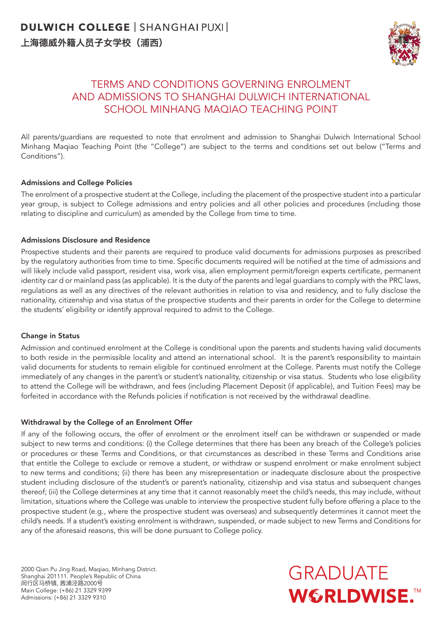

### TERMS AND CONDITIONS GOVERNING ENROLMENT AND ADMISSIONS TO SHANGHAI DULWICH INTERNATIONAL SCHOOL MINHANG MAQIAO TEACHING POINT

All parents/guardians are requested to note that enrolment and admission to Shanghai Dulwich International School Minhang Maqiao Teaching Point (the "College") are subject to the terms and conditions set out below ("Terms and Conditions").

#### Admissions and College Policies

The enrolment of a prospective student at the College, including the placement of the prospective student into a particular year group, is subject to College admissions and entry policies and all other policies and procedures (including those relating to discipline and curriculum) as amended by the College from time to time.

#### Admissions Disclosure and Residence

Prospective students and their parents are required to produce valid documents for admissions purposes as prescribed by the regulatory authorities from time to time. Specific documents required will be notified at the time of admissions and will likely include valid passport, resident visa, work visa, alien employment permit/foreign experts certificate, permanent identity car d or mainland pass (as applicable). It is the duty of the parents and legal guardians to comply with the PRC laws, regulations as well as any directives of the relevant authorities in relation to visa and residency, and to fully disclose the nationality, citizenship and visa status of the prospective students and their parents in order for the College to determine the students' eligibility or identify approval required to admit to the College.

#### Change in Status

Admission and continued enrolment at the College is conditional upon the parents and students having valid documents to both reside in the permissible locality and attend an international school. It is the parent's responsibility to maintain valid documents for students to remain eligible for continued enrolment at the College. Parents must notify the College immediately of any changes in the parent's or student's nationality, citizenship or visa status. Students who lose eligibility to attend the College will be withdrawn, and fees (including Placement Deposit (if applicable), and Tuition Fees) may be forfeited in accordance with the Refunds policies if notification is not received by the withdrawal deadline.

#### Withdrawal by the College of an Enrolment Offer

If any of the following occurs, the offer of enrolment or the enrolment itself can be withdrawn or suspended or made subject to new terms and conditions: (i) the College determines that there has been any breach of the College's policies or procedures or these Terms and Conditions, or that circumstances as described in these Terms and Conditions arise that entitle the College to exclude or remove a student, or withdraw or suspend enrolment or make enrolment subject to new terms and conditions; (ii) there has been any misrepresentation or inadequate disclosure about the prospective student including disclosure of the student's or parent's nationality, citizenship and visa status and subsequent changes thereof; (iii) the College determines at any time that it cannot reasonably meet the child's needs, this may include, without limitation, situations where the College was unable to interview the prospective student fully before offering a place to the prospective student (e.g., where the prospective student was overseas) and subsequently determines it cannot meet the child's needs. If a student's existing enrolment is withdrawn, suspended, or made subject to new Terms and Conditions for any of the aforesaid reasons, this will be done pursuant to College policy.

2000 Qian Pu Jing Road, Maqiao, Minhang District. Shanghai 201111. People's Republic of China 闵行区马桥镇, 茜浦泾路2000号 Main College: (+86) 21 3329 9399 Admissions: (+86) 21 3329 9310

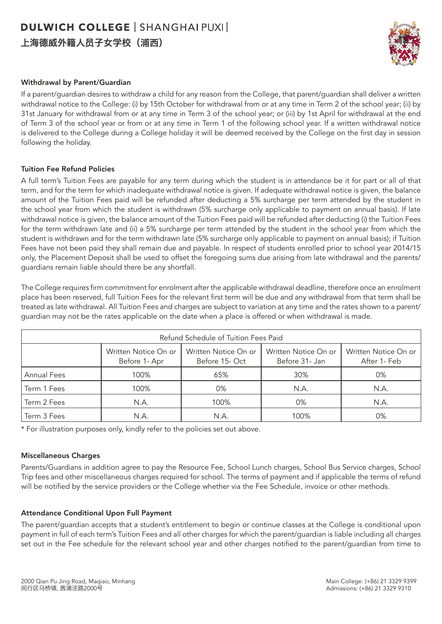上海德威外籍人员子女学校(浦西)



#### Withdrawal by Parent/Guardian

If a parent/guardian desires to withdraw a child for any reason from the College, that parent/guardian shall deliver a written withdrawal notice to the College: (i) by 15th October for withdrawal from or at any time in Term 2 of the school year; (ii) by 31st January for withdrawal from or at any time in Term 3 of the school year; or (iii) by 1st April for withdrawal at the end of Term 3 of the school year or from or at any time in Term 1 of the following school year. If a written withdrawal notice is delivered to the College during a College holiday it will be deemed received by the College on the first day in session following the holiday.

#### Tuition Fee Refund Policies

A full term's Tuition Fees are payable for any term during which the student is in attendance be it for part or all of that term, and for the term for which inadequate withdrawal notice is given. If adequate withdrawal notice is given, the balance amount of the Tuition Fees paid will be refunded after deducting a 5% surcharge per term attended by the student in the school year from which the student is withdrawn (5% surcharge only applicable to payment on annual basis). If late withdrawal notice is given, the balance amount of the Tuition Fees paid will be refunded after deducting (i) the Tuition Fees for the term withdrawn late and (ii) a 5% surcharge per term attended by the student in the school year from which the student is withdrawn and for the term withdrawn late (5% surcharge only applicable to payment on annual basis); if Tuition Fees have not been paid they shall remain due and payable. In respect of students enrolled prior to school year 2014/15 only, the Placement Deposit shall be used to offset the foregoing sums due arising from late withdrawal and the parents/ guardians remain liable should there be any shortfall.

The College requires firm commitment for enrolment after the applicable withdrawal deadline, therefore once an enrolment place has been reserved, full Tuition Fees for the relevant first term will be due and any withdrawal from that term shall be treated as late withdrawal. All Tuition Fees and charges are subject to variation at any time and the rates shown to a parent/ guardian may not be the rates applicable on the date when a place is offered or when withdrawal is made.

| Refund Schedule of Tuition Fees Paid |                                       |                                        |                                        |                                      |  |
|--------------------------------------|---------------------------------------|----------------------------------------|----------------------------------------|--------------------------------------|--|
|                                      | Written Notice On or<br>Before 1- Apr | Written Notice On or<br>Before 15- Oct | Written Notice On or<br>Before 31- Jan | Written Notice On or<br>After 1- Feb |  |
| <b>Annual Fees</b>                   | 100%                                  | 65%                                    | 30%                                    | 0%                                   |  |
| Term 1 Fees                          | 100%                                  | 0%                                     | N.A.                                   | N.A.                                 |  |
| Term 2 Fees                          | N.A.                                  | 100%                                   | 0%                                     | N.A.                                 |  |
| Term 3 Fees                          | N.A.                                  | N.A.                                   | 100%                                   | 0%                                   |  |

\* For illustration purposes only, kindly refer to the policies set out above.

#### Miscellaneous Charges

Parents/Guardians in addition agree to pay the Resource Fee, School Lunch charges, School Bus Service charges, School Trip fees and other miscellaneous charges required for school. The terms of payment and if applicable the terms of refund will be notified by the service providers or the College whether via the Fee Schedule, invoice or other methods.

#### Attendance Conditional Upon Full Payment

The parent/guardian accepts that a student's entitlement to begin or continue classes at the College is conditional upon payment in full of each term's Tuition Fees and all other charges for which the parent/guardian is liable including all charges set out in the Fee schedule for the relevant school year and other charges notified to the parent/guardian from time to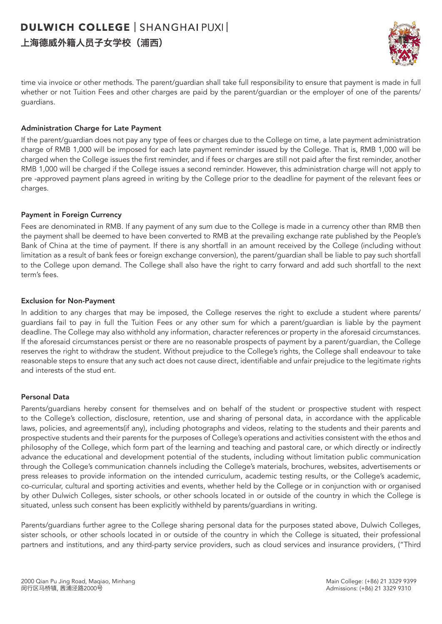### **DULWICH COLLEGE | SHANGHAI PUXI |** 上海德威外籍人员子女学校(浦西)



time via invoice or other methods. The parent/guardian shall take full responsibility to ensure that payment is made in full whether or not Tuition Fees and other charges are paid by the parent/guardian or the employer of one of the parents/ guardians.

#### Administration Charge for Late Payment

If the parent/guardian does not pay any type of fees or charges due to the College on time, a late payment administration charge of RMB 1,000 will be imposed for each late payment reminder issued by the College. That is, RMB 1,000 will be charged when the College issues the first reminder, and if fees or charges are still not paid after the first reminder, another RMB 1,000 will be charged if the College issues a second reminder. However, this administration charge will not apply to pre -approved payment plans agreed in writing by the College prior to the deadline for payment of the relevant fees or charges.

#### Payment in Foreign Currency

Fees are denominated in RMB. If any payment of any sum due to the College is made in a currency other than RMB then the payment shall be deemed to have been converted to RMB at the prevailing exchange rate published by the People's Bank of China at the time of payment. If there is any shortfall in an amount received by the College (including without limitation as a result of bank fees or foreign exchange conversion), the parent/guardian shall be liable to pay such shortfall to the College upon demand. The College shall also have the right to carry forward and add such shortfall to the next term's fees.

#### Exclusion for Non-Payment

In addition to any charges that may be imposed, the College reserves the right to exclude a student where parents/ guardians fail to pay in full the Tuition Fees or any other sum for which a parent/guardian is liable by the payment deadline. The College may also withhold any information, character references or property in the aforesaid circumstances. If the aforesaid circumstances persist or there are no reasonable prospects of payment by a parent/guardian, the College reserves the right to withdraw the student. Without prejudice to the College's rights, the College shall endeavour to take reasonable steps to ensure that any such act does not cause direct, identifiable and unfair prejudice to the legitimate rights and interests of the stud ent.

#### Personal Data

Parents/guardians hereby consent for themselves and on behalf of the student or prospective student with respect to the College's collection, disclosure, retention, use and sharing of personal data, in accordance with the applicable laws, policies, and agreements(if any), including photographs and videos, relating to the students and their parents and prospective students and their parents for the purposes of College's operations and activities consistent with the ethos and philosophy of the College, which form part of the learning and teaching and pastoral care, or which directly or indirectly advance the educational and development potential of the students, including without limitation public communication through the College's communication channels including the College's materials, brochures, websites, advertisements or press releases to provide information on the intended curriculum, academic testing results, or the College's academic, co-curricular, cultural and sporting activities and events, whether held by the College or in conjunction with or organised by other Dulwich Colleges, sister schools, or other schools located in or outside of the country in which the College is situated, unless such consent has been explicitly withheld by parents/guardians in writing.

Parents/guardians further agree to the College sharing personal data for the purposes stated above, Dulwich Colleges, sister schools, or other schools located in or outside of the country in which the College is situated, their professional partners and institutions, and any third-party service providers, such as cloud services and insurance providers, ("Third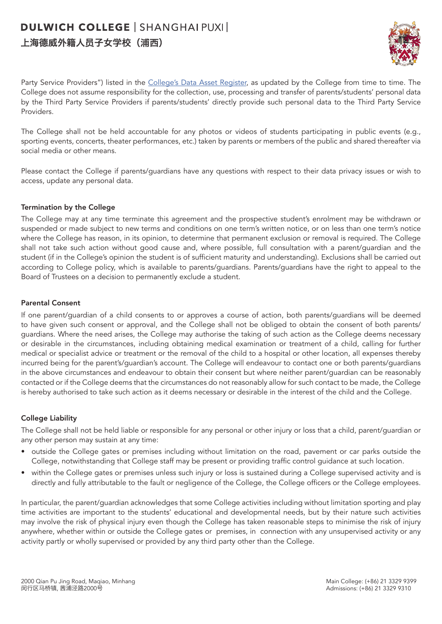### 上海德威外籍人员子女学校(浦西)



Party Service Providers") listed in the [College's Data Asset Register,](https://dcigroupadmin.sharepoint.com/:b:/t/DCSPXAMC/EU9Z1sE_tedPt_lRQZQW2P4BWjg17pKFMkzpSpE6pOF1WA?e=KLuWsP) as updated by the College from time to time. The College does not assume responsibility for the collection, use, processing and transfer of parents/students' personal data by the Third Party Service Providers if parents/students' directly provide such personal data to the Third Party Service Providers.

The College shall not be held accountable for any photos or videos of students participating in public events (e.g., sporting events, concerts, theater performances, etc.) taken by parents or members of the public and shared thereafter via social media or other means.

Please contact the College if parents/guardians have any questions with respect to their data privacy issues or wish to access, update any personal data.

#### Termination by the College

The College may at any time terminate this agreement and the prospective student's enrolment may be withdrawn or suspended or made subject to new terms and conditions on one term's written notice, or on less than one term's notice where the College has reason, in its opinion, to determine that permanent exclusion or removal is required. The College shall not take such action without good cause and, where possible, full consultation with a parent/guardian and the student (if in the College's opinion the student is of sufficient maturity and understanding). Exclusions shall be carried out according to College policy, which is available to parents/guardians. Parents/guardians have the right to appeal to the Board of Trustees on a decision to permanently exclude a student.

#### Parental Consent

If one parent/guardian of a child consents to or approves a course of action, both parents/guardians will be deemed to have given such consent or approval, and the College shall not be obliged to obtain the consent of both parents/ guardians. Where the need arises, the College may authorise the taking of such action as the College deems necessary or desirable in the circumstances, including obtaining medical examination or treatment of a child, calling for further medical or specialist advice or treatment or the removal of the child to a hospital or other location, all expenses thereby incurred being for the parent's/guardian's account. The College will endeavour to contact one or both parents/guardians in the above circumstances and endeavour to obtain their consent but where neither parent/guardian can be reasonably contacted or if the College deems that the circumstances do not reasonably allow for such contact to be made, the College is hereby authorised to take such action as it deems necessary or desirable in the interest of the child and the College.

#### College Liability

The College shall not be held liable or responsible for any personal or other injury or loss that a child, parent/guardian or any other person may sustain at any time:

- outside the College gates or premises including without limitation on the road, pavement or car parks outside the College, notwithstanding that College staff may be present or providing traffic control guidance at such location.
- within the College gates or premises unless such injury or loss is sustained during a College supervised activity and is directly and fully attributable to the fault or negligence of the College, the College officers or the College employees.

In particular, the parent/guardian acknowledges that some College activities including without limitation sporting and play time activities are important to the students' educational and developmental needs, but by their nature such activities may involve the risk of physical injury even though the College has taken reasonable steps to minimise the risk of injury anywhere, whether within or outside the College gates or premises, in connection with any unsupervised activity or any activity partly or wholly supervised or provided by any third party other than the College.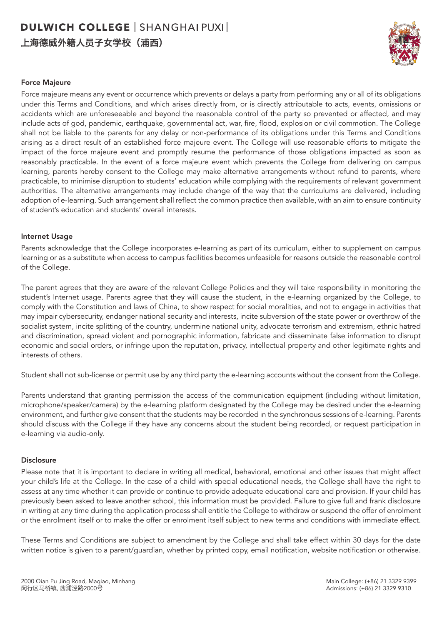上海德威外籍人员子女学校(浦西)



#### Force Majeure

Force majeure means any event or occurrence which prevents or delays a party from performing any or all of its obligations under this Terms and Conditions, and which arises directly from, or is directly attributable to acts, events, omissions or accidents which are unforeseeable and beyond the reasonable control of the party so prevented or affected, and may include acts of god, pandemic, earthquake, governmental act, war, fire, flood, explosion or civil commotion. The College shall not be liable to the parents for any delay or non-performance of its obligations under this Terms and Conditions arising as a direct result of an established force majeure event. The College will use reasonable efforts to mitigate the impact of the force majeure event and promptly resume the performance of those obligations impacted as soon as reasonably practicable. In the event of a force majeure event which prevents the College from delivering on campus learning, parents hereby consent to the College may make alternative arrangements without refund to parents, where practicable, to minimise disruption to students' education while complying with the requirements of relevant government authorities. The alternative arrangements may include change of the way that the curriculums are delivered, including adoption of e-learning. Such arrangement shall reflect the common practice then available, with an aim to ensure continuity of student's education and students' overall interests.

#### Internet Usage

Parents acknowledge that the College incorporates e-learning as part of its curriculum, either to supplement on campus learning or as a substitute when access to campus facilities becomes unfeasible for reasons outside the reasonable control of the College.

The parent agrees that they are aware of the relevant College Policies and they will take responsibility in monitoring the student's Internet usage. Parents agree that they will cause the student, in the e-learning organized by the College, to comply with the Constitution and laws of China, to show respect for social moralities, and not to engage in activities that may impair cybersecurity, endanger national security and interests, incite subversion of the state power or overthrow of the socialist system, incite splitting of the country, undermine national unity, advocate terrorism and extremism, ethnic hatred and discrimination, spread violent and pornographic information, fabricate and disseminate false information to disrupt economic and social orders, or infringe upon the reputation, privacy, intellectual property and other legitimate rights and interests of others.

Student shall not sub-license or permit use by any third party the e-learning accounts without the consent from the College.

Parents understand that granting permission the access of the communication equipment (including without limitation, microphone/speaker/camera) by the e-learning platform designated by the College may be desired under the e-learning environment, and further give consent that the students may be recorded in the synchronous sessions of e-learning. Parents should discuss with the College if they have any concerns about the student being recorded, or request participation in e-learning via audio-only.

#### Disclosure

Please note that it is important to declare in writing all medical, behavioral, emotional and other issues that might affect your child's life at the College. In the case of a child with special educational needs, the College shall have the right to assess at any time whether it can provide or continue to provide adequate educational care and provision. If your child has previously been asked to leave another school, this information must be provided. Failure to give full and frank disclosure in writing at any time during the application process shall entitle the College to withdraw or suspend the offer of enrolment or the enrolment itself or to make the offer or enrolment itself subject to new terms and conditions with immediate effect.

These Terms and Conditions are subject to amendment by the College and shall take effect within 30 days for the date written notice is given to a parent/guardian, whether by printed copy, email notification, website notification or otherwise.